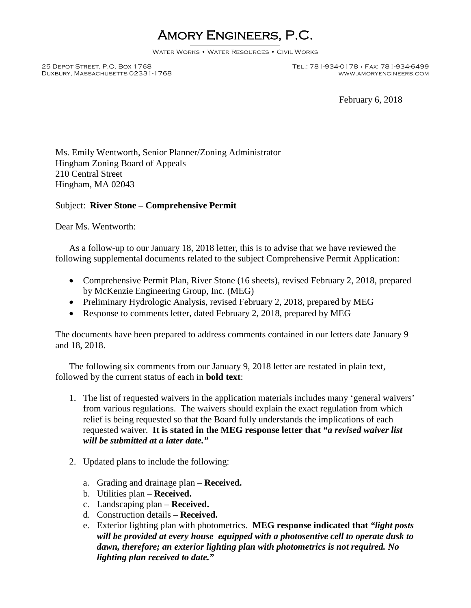# Amory Engineers, P.C.

Water Works • Water Resources • Civil Works

Duxbury, Massachusetts 02331-1768

February 6, 2018

Ms. Emily Wentworth, Senior Planner/Zoning Administrator Hingham Zoning Board of Appeals 210 Central Street Hingham, MA 02043

# Subject: **River Stone – Comprehensive Permit**

Dear Ms. Wentworth:

As a follow-up to our January 18, 2018 letter, this is to advise that we have reviewed the following supplemental documents related to the subject Comprehensive Permit Application:

- Comprehensive Permit Plan, River Stone (16 sheets), revised February 2, 2018, prepared by McKenzie Engineering Group, Inc. (MEG)
- Preliminary Hydrologic Analysis, revised February 2, 2018, prepared by MEG
- Response to comments letter, dated February 2, 2018, prepared by MEG

The documents have been prepared to address comments contained in our letters date January 9 and 18, 2018.

The following six comments from our January 9, 2018 letter are restated in plain text, followed by the current status of each in **bold text**:

- 1. The list of requested waivers in the application materials includes many 'general waivers' from various regulations. The waivers should explain the exact regulation from which relief is being requested so that the Board fully understands the implications of each requested waiver. **It is stated in the MEG response letter that** *"a revised waiver list will be submitted at a later date."*
- 2. Updated plans to include the following:
	- a. Grading and drainage plan **Received.**
	- b. Utilities plan **Received.**
	- c. Landscaping plan **Received.**
	- d. Construction details **Received.**
	- e. Exterior lighting plan with photometrics. **MEG response indicated that** *"light posts will be provided at every house equipped with a photosentive cell to operate dusk to dawn, therefore; an exterior lighting plan with photometrics is not required. No lighting plan received to date."*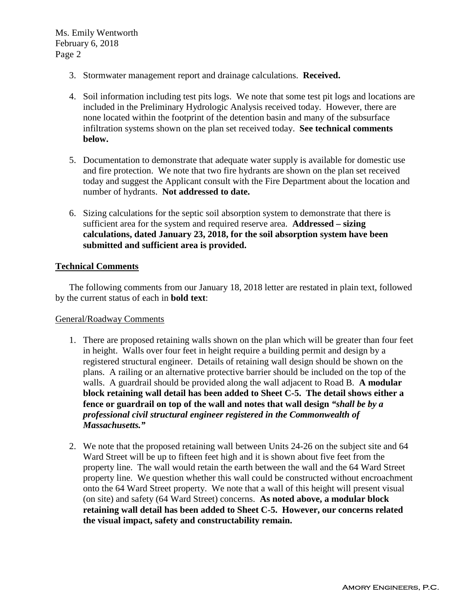- 3. Stormwater management report and drainage calculations. **Received.**
- 4. Soil information including test pits logs. We note that some test pit logs and locations are included in the Preliminary Hydrologic Analysis received today. However, there are none located within the footprint of the detention basin and many of the subsurface infiltration systems shown on the plan set received today. **See technical comments below.**
- 5. Documentation to demonstrate that adequate water supply is available for domestic use and fire protection. We note that two fire hydrants are shown on the plan set received today and suggest the Applicant consult with the Fire Department about the location and number of hydrants. **Not addressed to date.**
- 6. Sizing calculations for the septic soil absorption system to demonstrate that there is sufficient area for the system and required reserve area. **Addressed – sizing calculations, dated January 23, 2018, for the soil absorption system have been submitted and sufficient area is provided.**

### **Technical Comments**

The following comments from our January 18, 2018 letter are restated in plain text, followed by the current status of each in **bold text**:

#### General/Roadway Comments

- 1. There are proposed retaining walls shown on the plan which will be greater than four feet in height. Walls over four feet in height require a building permit and design by a registered structural engineer. Details of retaining wall design should be shown on the plans. A railing or an alternative protective barrier should be included on the top of the walls. A guardrail should be provided along the wall adjacent to Road B. **A modular block retaining wall detail has been added to Sheet C-5. The detail shows either a fence or guardrail on top of the wall and notes that wall design** *"shall be by a professional civil structural engineer registered in the Commonwealth of Massachusetts."*
- 2. We note that the proposed retaining wall between Units 24-26 on the subject site and 64 Ward Street will be up to fifteen feet high and it is shown about five feet from the property line. The wall would retain the earth between the wall and the 64 Ward Street property line. We question whether this wall could be constructed without encroachment onto the 64 Ward Street property. We note that a wall of this height will present visual (on site) and safety (64 Ward Street) concerns. **As noted above, a modular block retaining wall detail has been added to Sheet C-5. However, our concerns related the visual impact, safety and constructability remain.**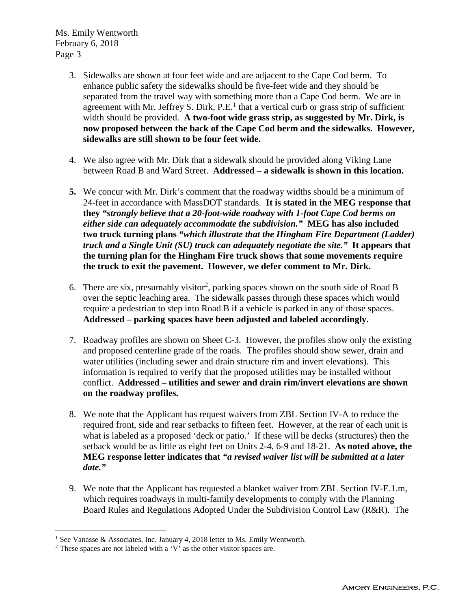- 3. Sidewalks are shown at four feet wide and are adjacent to the Cape Cod berm. To enhance public safety the sidewalks should be five-feet wide and they should be separated from the travel way with something more than a Cape Cod berm. We are in agreement with Mr. Jeffrey S. Dirk,  $P.E.<sup>1</sup>$  that a vertical curb or grass strip of sufficient width should be provided. **A two-foot wide grass strip, as suggested by Mr. Dirk, is now proposed between the back of the Cape Cod berm and the sidewalks. However, sidewalks are still shown to be four feet wide.**
- 4. We also agree with Mr. Dirk that a sidewalk should be provided along Viking Lane between Road B and Ward Street. **Addressed – a sidewalk is shown in this location.**
- **5.** We concur with Mr. Dirk's comment that the roadway widths should be a minimum of 24-feet in accordance with MassDOT standards. **It is stated in the MEG response that they** *"strongly believe that a 20-foot-wide roadway with 1-foot Cape Cod berms on either side can adequately accommodate the subdivision."* **MEG has also included two truck turning plans** *"which illustrate that the Hingham Fire Department (Ladder) truck and a Single Unit (SU) truck can adequately negotiate the site."* **It appears that the turning plan for the Hingham Fire truck shows that some movements require the truck to exit the pavement. However, we defer comment to Mr. Dirk.**
- 6. There are six, presumably visitor<sup>2</sup>, parking spaces shown on the south side of Road B over the septic leaching area. The sidewalk passes through these spaces which would require a pedestrian to step into Road B if a vehicle is parked in any of those spaces. **Addressed – parking spaces have been adjusted and labeled accordingly.**
- 7. Roadway profiles are shown on Sheet C-3. However, the profiles show only the existing and proposed centerline grade of the roads. The profiles should show sewer, drain and water utilities (including sewer and drain structure rim and invert elevations). This information is required to verify that the proposed utilities may be installed without conflict. **Addressed – utilities and sewer and drain rim/invert elevations are shown on the roadway profiles.**
- 8. We note that the Applicant has request waivers from ZBL Section IV-A to reduce the required front, side and rear setbacks to fifteen feet. However, at the rear of each unit is what is labeled as a proposed 'deck or patio.' If these will be decks (structures) then the setback would be as little as eight feet on Units 2-4, 6-9 and 18-21. **As noted above, the MEG response letter indicates that** *"a revised waiver list will be submitted at a later date."*
- 9. We note that the Applicant has requested a blanket waiver from ZBL Section IV-E.1.m, which requires roadways in multi-family developments to comply with the Planning Board Rules and Regulations Adopted Under the Subdivision Control Law (R&R). The

<sup>&</sup>lt;sup>1</sup> See Vanasse & Associates, Inc. January 4, 2018 letter to Ms. Emily Wentworth.

<sup>2</sup> These spaces are not labeled with a 'V' as the other visitor spaces are.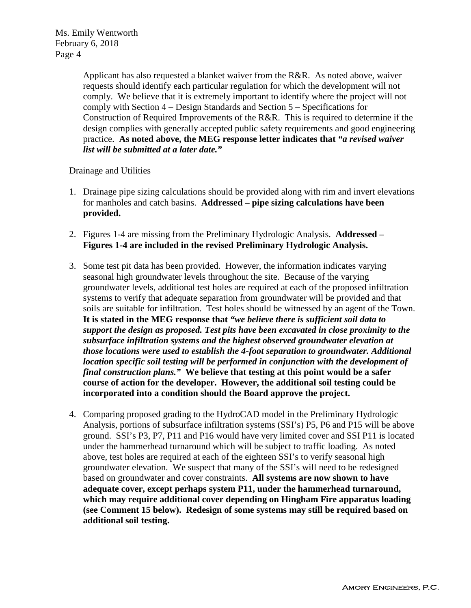> Applicant has also requested a blanket waiver from the R&R. As noted above, waiver requests should identify each particular regulation for which the development will not comply. We believe that it is extremely important to identify where the project will not comply with Section 4 – Design Standards and Section 5 – Specifications for Construction of Required Improvements of the R&R. This is required to determine if the design complies with generally accepted public safety requirements and good engineering practice. **As noted above, the MEG response letter indicates that** *"a revised waiver list will be submitted at a later date."*

# Drainage and Utilities

- 1. Drainage pipe sizing calculations should be provided along with rim and invert elevations for manholes and catch basins. **Addressed – pipe sizing calculations have been provided.**
- 2. Figures 1-4 are missing from the Preliminary Hydrologic Analysis. **Addressed – Figures 1-4 are included in the revised Preliminary Hydrologic Analysis.**
- 3. Some test pit data has been provided. However, the information indicates varying seasonal high groundwater levels throughout the site. Because of the varying groundwater levels, additional test holes are required at each of the proposed infiltration systems to verify that adequate separation from groundwater will be provided and that soils are suitable for infiltration. Test holes should be witnessed by an agent of the Town. **It is stated in the MEG response that** *"we believe there is sufficient soil data to support the design as proposed. Test pits have been excavated in close proximity to the subsurface infiltration systems and the highest observed groundwater elevation at those locations were used to establish the 4-foot separation to groundwater. Additional location specific soil testing will be performed in conjunction with the development of final construction plans."* **We believe that testing at this point would be a safer course of action for the developer. However, the additional soil testing could be incorporated into a condition should the Board approve the project.**
- 4. Comparing proposed grading to the HydroCAD model in the Preliminary Hydrologic Analysis, portions of subsurface infiltration systems (SSI's) P5, P6 and P15 will be above ground. SSI's P3, P7, P11 and P16 would have very limited cover and SSI P11 is located under the hammerhead turnaround which will be subject to traffic loading. As noted above, test holes are required at each of the eighteen SSI's to verify seasonal high groundwater elevation. We suspect that many of the SSI's will need to be redesigned based on groundwater and cover constraints. **All systems are now shown to have adequate cover, except perhaps system P11, under the hammerhead turnaround, which may require additional cover depending on Hingham Fire apparatus loading (see Comment 15 below). Redesign of some systems may still be required based on additional soil testing.**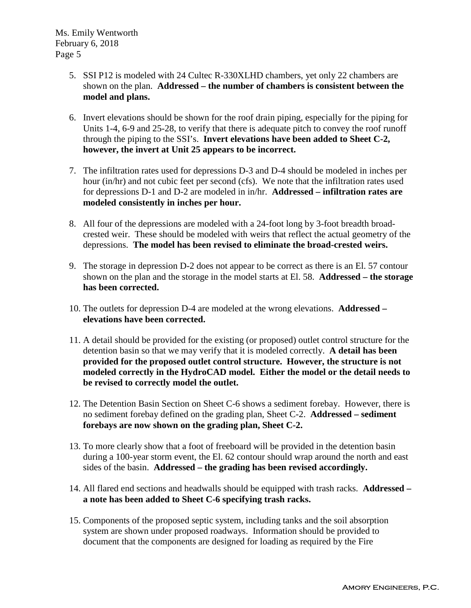- 5. SSI P12 is modeled with 24 Cultec R-330XLHD chambers, yet only 22 chambers are shown on the plan. **Addressed – the number of chambers is consistent between the model and plans.**
- 6. Invert elevations should be shown for the roof drain piping, especially for the piping for Units 1-4, 6-9 and 25-28, to verify that there is adequate pitch to convey the roof runoff through the piping to the SSI's. **Invert elevations have been added to Sheet C-2, however, the invert at Unit 25 appears to be incorrect.**
- 7. The infiltration rates used for depressions D-3 and D-4 should be modeled in inches per hour (in/hr) and not cubic feet per second (cfs). We note that the infiltration rates used for depressions D-1 and D-2 are modeled in in/hr. **Addressed – infiltration rates are modeled consistently in inches per hour.**
- 8. All four of the depressions are modeled with a 24-foot long by 3-foot breadth broadcrested weir. These should be modeled with weirs that reflect the actual geometry of the depressions. **The model has been revised to eliminate the broad-crested weirs.**
- 9. The storage in depression D-2 does not appear to be correct as there is an El. 57 contour shown on the plan and the storage in the model starts at El. 58. **Addressed – the storage has been corrected.**
- 10. The outlets for depression D-4 are modeled at the wrong elevations. **Addressed – elevations have been corrected.**
- 11. A detail should be provided for the existing (or proposed) outlet control structure for the detention basin so that we may verify that it is modeled correctly. **A detail has been provided for the proposed outlet control structure. However, the structure is not modeled correctly in the HydroCAD model. Either the model or the detail needs to be revised to correctly model the outlet.**
- 12. The Detention Basin Section on Sheet C-6 shows a sediment forebay. However, there is no sediment forebay defined on the grading plan, Sheet C-2. **Addressed – sediment forebays are now shown on the grading plan, Sheet C-2.**
- 13. To more clearly show that a foot of freeboard will be provided in the detention basin during a 100-year storm event, the El. 62 contour should wrap around the north and east sides of the basin. **Addressed – the grading has been revised accordingly.**
- 14. All flared end sections and headwalls should be equipped with trash racks. **Addressed – a note has been added to Sheet C-6 specifying trash racks.**
- 15. Components of the proposed septic system, including tanks and the soil absorption system are shown under proposed roadways. Information should be provided to document that the components are designed for loading as required by the Fire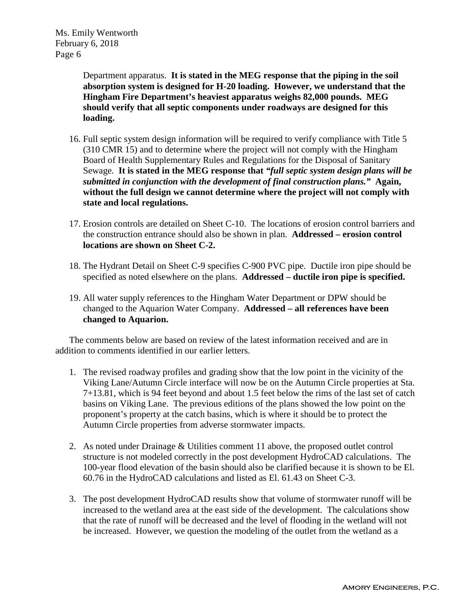> Department apparatus. **It is stated in the MEG response that the piping in the soil absorption system is designed for H-20 loading. However, we understand that the Hingham Fire Department's heaviest apparatus weighs 82,000 pounds. MEG should verify that all septic components under roadways are designed for this loading.**

- 16. Full septic system design information will be required to verify compliance with Title 5 (310 CMR 15) and to determine where the project will not comply with the Hingham Board of Health Supplementary Rules and Regulations for the Disposal of Sanitary Sewage. **It is stated in the MEG response that** *"full septic system design plans will be submitted in conjunction with the development of final construction plans."* **Again, without the full design we cannot determine where the project will not comply with state and local regulations.**
- 17. Erosion controls are detailed on Sheet C-10. The locations of erosion control barriers and the construction entrance should also be shown in plan. **Addressed – erosion control locations are shown on Sheet C-2.**
- 18. The Hydrant Detail on Sheet C-9 specifies C-900 PVC pipe. Ductile iron pipe should be specified as noted elsewhere on the plans. **Addressed – ductile iron pipe is specified.**
- 19. All water supply references to the Hingham Water Department or DPW should be changed to the Aquarion Water Company. **Addressed – all references have been changed to Aquarion.**

The comments below are based on review of the latest information received and are in addition to comments identified in our earlier letters.

- 1. The revised roadway profiles and grading show that the low point in the vicinity of the Viking Lane/Autumn Circle interface will now be on the Autumn Circle properties at Sta. 7+13.81, which is 94 feet beyond and about 1.5 feet below the rims of the last set of catch basins on Viking Lane. The previous editions of the plans showed the low point on the proponent's property at the catch basins, which is where it should be to protect the Autumn Circle properties from adverse stormwater impacts.
- 2. As noted under Drainage & Utilities comment 11 above, the proposed outlet control structure is not modeled correctly in the post development HydroCAD calculations. The 100-year flood elevation of the basin should also be clarified because it is shown to be El. 60.76 in the HydroCAD calculations and listed as El. 61.43 on Sheet C-3.
- 3. The post development HydroCAD results show that volume of stormwater runoff will be increased to the wetland area at the east side of the development. The calculations show that the rate of runoff will be decreased and the level of flooding in the wetland will not be increased. However, we question the modeling of the outlet from the wetland as a